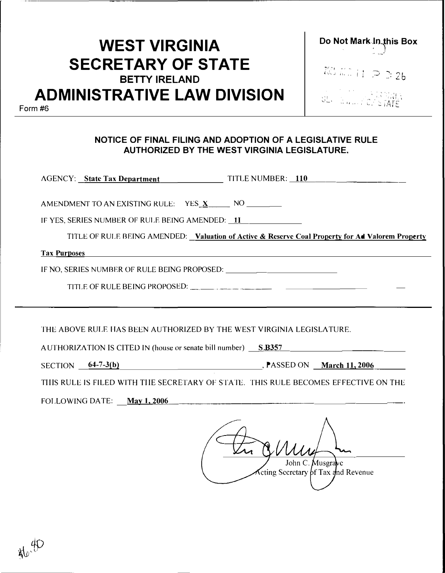# **WEST VIRGINIA SECRETARY OF STATE BETTY IRELAND ADMINISTRATIVE LAW DIVISION**

**Do Not Mark In this Box**<br>  $\begin{bmatrix} \downarrow \downarrow \downarrow \downarrow \end{bmatrix}$ •• ... M�

200 元 11 户 2 26

SER EMERICA IS TATE

Form #6

#### **NOTICE OF FINAL FILING AND ADOPTION OF A LEGISLATIVE RULE AUTHORIZED BY THE WEST VIRGINIA LEGISLATURE.**

|                                                                                                             | AGENCY: State Tax Department TILE NUMBER: 110                                                                         |
|-------------------------------------------------------------------------------------------------------------|-----------------------------------------------------------------------------------------------------------------------|
| AMENDMENT TO AN EXISTING RULE: YES_X________ NO ________<br>IF YES, SERIES NUMBER OF RULE BEING AMENDED: 1I | TITLE OF RULE BEING AMENDED: Valuation of Active & Reserve Coal Property for Ad Valorem Property                      |
| <b>Tax Purposes</b>                                                                                         | <u> 1989 - Johann Barn, amerikan bernama di bandara dan bernama dalam bernama dalam bernama dalam bernama dalam b</u> |
| IF NO, SERIES NUMBER OF RULE BEING PROPOSED: ___________________________________                            |                                                                                                                       |
|                                                                                                             |                                                                                                                       |
|                                                                                                             |                                                                                                                       |
| THE ABOVE RULE HAS BEEN AUTHORIZED BY THE WEST VIRGINIA LEGISLATURE.                                        | AUTHORIZATION IS CITED IN (house or senate bill number) S.B357                                                        |
|                                                                                                             | SECTION 64-7-3(b) RASSED ON March 11, 2006                                                                            |
|                                                                                                             | TIIIS RULE IS FILED WITH THE SECRETARY OF STATE. THIS RULE BECOMES EFFECTIVE ON THE                                   |
| FOLLOWING DATE: May 1, 2006                                                                                 |                                                                                                                       |
|                                                                                                             | John C. Musgrave<br>$\pi$ cting Secretary of Tax and Revenue                                                          |

 $\frac{1}{\sqrt{2}}$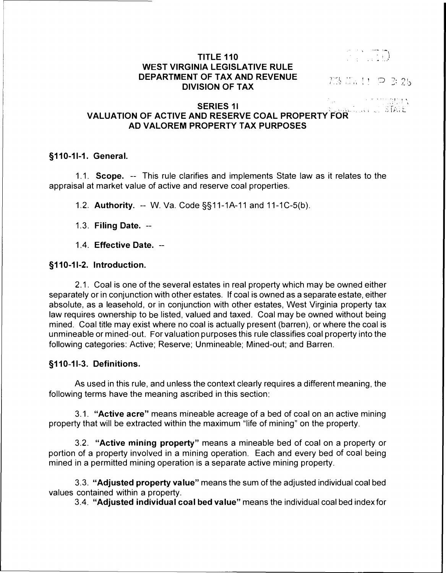#### **TITLE 110 WEST VIRGINIA LEGISLATIVE RULE DEPARTMENT OF TAX AND REVENUE DIVISION OF TAX**

 $\mathbb{CD}$ 

POS NA H P 3 25

, ' 1

 $\mathbb{S}\mathbb{T}$ r $\mathbb{C}$  .

# .,,, I "t **SERIES 11** .,;·, . \ **VALUATION OF ACTIVE AND RESERVE COAL PROPERTY FOR AD VALOREM PROPERTY TAX PURPOSES**

#### **§110-11-1. General.**

1.1. **Scope.** -- This rule clarifies and implements State law as it relates to the appraisal at market value of active and reserve coal properties.

1.2. **Authority.** -- W. Va. Code §§11-1A-11 and 11-1C-5(b).

- 1.3. **Filing Date.** --
- 1.4. **Effective Date.** --

#### **§110-11-2. Introduction.**

2.1. Coal is one of the several estates in real property which may be owned either separately or in conjunction with other estates. If coal is owned as a separate estate, either absolute, as a leasehold, or in conjunction with other estates, West Virginia property tax law requires ownership to be listed, valued and taxed. Coal may be owned without being mined. Coal title may exist where no coal is actually present (barren), or where the coal is unmineable or mined-out. For valuation purposes this rule classifies coal property into the following categories: Active; Reserve; Unmineable; Mined-out; and Barren.

#### **§110-11-3. Definitions.**

As used in this rule, and unless the context clearly requires a different meaning, the following terms have the meaning ascribed in this section:

3.1. **"Active acre"** means mineable acreage of a bed of coal on an active mining property that will be extracted within the maximum "life of mining" on the property.

3.2. **"Active mining property"** means a mineable bed of coal on a property or portion of a property involved in a mining operation. Each and every bed of coal being mined in a permitted mining operation is a separate active mining property.

3.3. **"Adjusted property value"** means the sum of the adjusted individual coal bed values contained within a property.

3.4. **"Adjusted individual coal bed value"** means the individual coal bed index for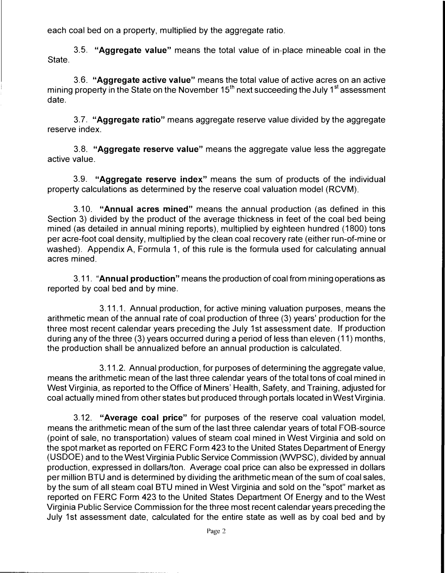each coal bed on a property, multiplied by the aggregate ratio.

3.5. **"Aggregate value"** means the total value of in-place mineable coal in the State.

3.6. **"Aggregate active value"** means the total value of active acres on an active mining property in the State on the November 15<sup>th</sup> next succeeding the July 1<sup>st</sup> assessment date.

3.7. **"Aggregate ratio"** means aggregate reserve value divided by the aggregate reserve index.

3.8. **"Aggregate reserve value"** means the aggregate value less the aggregate active value.

3.9. **"Aggregate reserve index"** means the sum of products of the individual property calculations as determined by the reserve coal valuation model (RCVM).

3.10. **"Annual acres mined"** means the annual production (as defined in this Section 3) divided by the product of the average thickness in feet of the coal bed being mined (as detailed in annual mining reports), multiplied by eighteen hundred (1800) tons per acre-foot coal density, multiplied by the clean coal recovery rate (either run-of-mine or washed). Appendix A, Formula 1, of this rule is the formula used for calculating annual acres mined.

3.11. **"Annual production"** means the production of coal from mining operations as reported by coal bed and by mine.

3.11.1. Annual production, for active mining valuation purposes, means the arithmetic mean of the annual rate of coal production of three (3) years' production for the three most recent calendar years preceding the July 1st assessment date. If production during any of the three (3) years occurred during a period of less than eleven (11) months, the production shall be annualized before an annual production is calculated.

3.11.2. Annual production, for purposes of determining the aggregate value, means the arithmetic mean of the last three calendar years of the total tons of coal mined in West Virginia, as reported to the Office of Miners' Health, Safety, and Training, adjusted for coal actually mined from other states but produced through portals located in West Virginia.

3.12. **"Average coal price"** for purposes of the reserve coal valuation model, means the arithmetic mean of the sum of the last three calendar years of total FOB-source (point of sale, no transportation) values of steam coal mined in West Virginia and sold on the spot market as reported on FERG Form 423 to the United States Department of Energy (USDOE) and to the West Virginia Public Service Commission (WVPSC), divided by annual production, expressed in dollars/ton. Average coal price can also be expressed in dollars per million BTU and is determined by dividing the arithmetic mean of the sum of coal sales, by the sum of all steam coal BTU mined in West Virginia and sold on the "spot" market as reported on FERG Form 423 to the United States Department Of Energy and to the West Virginia Public Service Commission for the three most recent calendar years preceding the July 1st assessment date, calculated for the entire state as well as by coal bed and by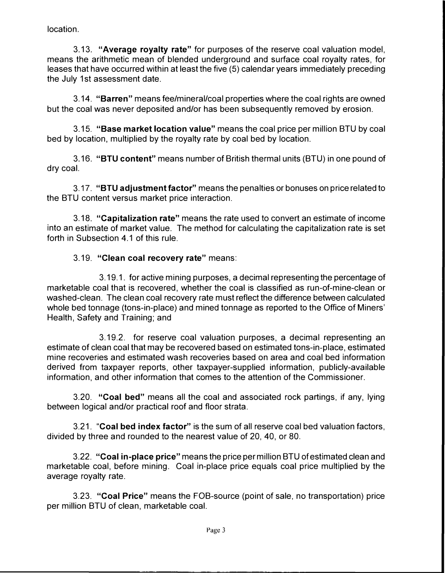location.

3.13. **"Average royalty rate"** for purposes of the reserve coal valuation model, means the arithmetic mean of blended underground and surface coal royalty rates, for leases that have occurred within at least the five (5) calendar years immediately preceding the July 1st assessment date.

3.14. **"Barren"** means fee/mineral/coal properties where the coal rights are owned but the coal was never deposited and/or has been subsequently removed by erosion.

3.15. **"Base market location value"** means the coal price per million BTU by coal bed by location, multiplied by the royalty rate by coal bed by location.

3.16. **"BTU content"** means number of British thermal units (BTU) in one pound of dry coal.

3.17. **"BTU adjustment factor"** means the penalties or bonuses on price related to the BTU content versus market price interaction.

3.18. **"Capitalization rate"** means the rate used to convert an estimate of income into an estimate of market value. The method for calculating the capitalization rate is set forth in Subsection 4.1 of this rule.

## 3.19. **"Clean coal recovery rate"** means:

3.19.1. for active mining purposes, a decimal representing the percentage of marketable coal that is recovered, whether the coal is classified as run-of-mine-clean or washed-clean. The clean coal recovery rate must reflect the difference between calculated whole bed tonnage (tons-in-place) and mined tonnage as reported to the Office of Miners' Health, Safety and Training; and

3.19.2. for reserve coal valuation purposes, a decimal representing an estimate of clean coal that may be recovered based on estimated tons-in-place, estimated mine recoveries and estimated wash recoveries based on area and coal bed information derived from taxpayer reports, other taxpayer-supplied information, publicly-available information, and other information that comes to the attention of the Commissioner.

3.20. **"Coal bed"** means all the coal and associated rock partings, if any, lying between logical and/or practical roof and floor strata.

3.21. **"Coal bed index factor"** is the sum of all reserve coal bed valuation factors, divided by three and rounded to the nearest value of 20, 40, or 80.

3.22. **"Coal in-place price"** means the price per million BTU of estimated clean and marketable coal, before mining. Coal in-place price equals coal price multiplied by the average royalty rate.

3.23. **"Coal Price"** means the FOB-source (point of sale, no transportation) price per million BTU of clean, marketable coal.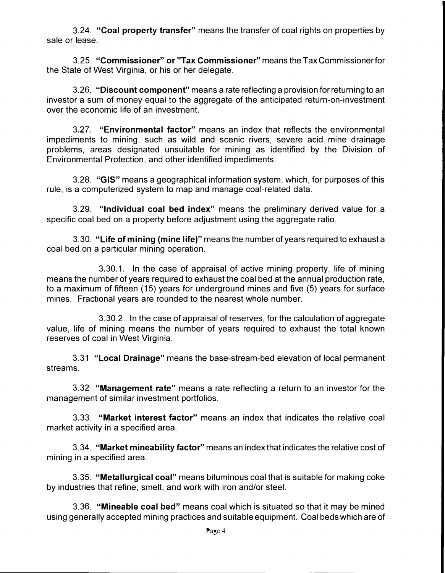3.24. **"Coal property transfer"** means the transfer of coal rights on properties by sale or lease.

3.25. **"Commissioner" or "Tax Commissioner"** means the Tax Commissioner for the State of West Virginia, or his or her delegate.

3.26. **"Discount component"** means a rate reflecting a provision for returning to an investor a sum of money equal to the aggregate of the anticipated return-on-investment over the economic life of an investment.

3.27. **"Environmental factor"** means an index that reflects the environmental impediments to mining, such as wild and scenic rivers, severe acid mine drainage problems, areas designated unsuitable for mining as identified by the Division of Environmental Protection, and other identified impediments.

3.28. **"GIS"** means a geographical information system, which, for purposes of this rule, is a computerized system to map and manage coal-related data.

3.29. **"Individual coal bed index"** means the preliminary derived value for a specific coal bed on a property before adjustment using the aggregate ratio.

3.30. **"Life of mining (mine life)"** means the number of years required to exhaust a coal bed on a particular mining operation.

3.30.1. In the case of appraisal of active mining property, life of mining means the number of years required to exhaust the coal bed at the annual production rate, to a maximum of fifteen (15) years for underground mines and five (5) years for surface mines. Fractional years are rounded to the nearest whole number.

3.30.2. In the case of appraisal of reserves, for the calculation of aggregate value, life of mining means the number of years required to exhaust the total known reserves of coal in West Virginia.

3.31 **"Local Drainage"** means the base-stream-bed elevation of local permanent streams.

3.32 **"Management rate"** means a rate reflecting a return to an investor for the management of similar investment portfolios.

3.33. **"Market interest factor"** means an index that indicates the relative coal market activity in a specified area.

3.34. **"Market mineability factor"** means an index that indicates the relative cost of mining in a specified area.

3.35. **"Metallurgical coal"** means bituminous coal that is suitable for making coke by industries that refine, smelt, and work with iron and/or steel.

3.36. **"Mineable coal bed"** means coal which is situated so that it may be mined using generally accepted mining practices and suitable equipment. Coal beds which are of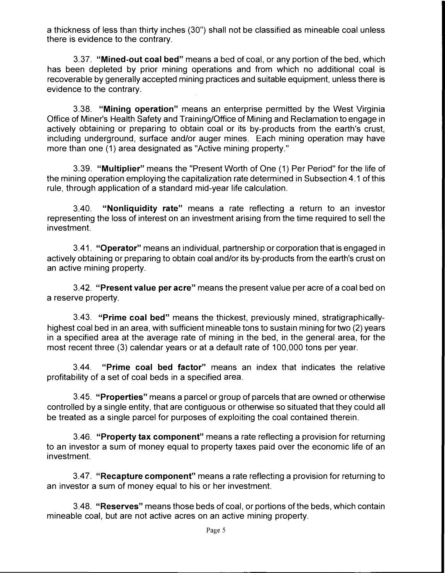a thickness of less than thirty inches (30") shall not be classified as mineable coal unless there is evidence to the contrary.

3.37. **"Mined-out coal bed"** means a bed of coal, or any portion of the bed, which has been depleted by prior mining operations and from which no additional coal is recoverable by generally accepted mining practices and suitable equipment, unless there is evidence to the contrary.

3.38. **"Mining operation"** means an enterprise permitted by the West Virginia Office of Miner's Health Safety and Training/Office of Mining and Reclamation to engage in actively obtaining or preparing to obtain coal or its by-products from the earth's crust, including underground, surface and/or auger mines. Each mining operation may have more than one (1) area designated as "Active mining property."

3.39. **"Multiplier"** means the "Present Worth of One (1) Per Period" for the life of the mining operation employing the capitalization rate determined in Subsection 4.1 of this rule, through application of a standard mid-year life calculation.

3.40. **"Nonliquidity rate"** means a rate reflecting a return to an investor representing the loss of interest on an investment arising from the time required to sell the investment.

3.41. **"Operator"** means an individual, partnership or corporation that is engaged in actively obtaining or preparing to obtain coal and/or its by-products from the earth's crust on an active mining property.

3.42. **"Present value per acre"** means the present value per acre of a coal bed on a reserve property.

3.43. **"Prime coal bed"** means the thickest, previously mined, stratigraphicallyhighest coal bed in an area, with sufficient mineable tons to sustain mining for two (2) years in a specified area at the average rate of mining in the bed, in the general area, for the most recent three (3) calendar years or at a default rate of 100,000 tons per year.

3.44. **"Prime coal bed factor"** means an index that indicates the relative profitability of a set of coal beds in a specified area.

3.45. **"Properties"** means a parcel or group of parcels that are owned or otherwise controlled by a single entity, that are contiguous or otherwise so situated that they could all be treated as a single parcel for purposes of exploiting the coal contained therein.

3.46. **"Property tax component"** means a rate reflecting a provision for returning to an investor a sum of money equal to property taxes paid over the economic life of an investment.

3.47. **"Recapture component"** means a rate reflecting a provision for returning to an investor a sum of money equal to his or her investment.

3.48. **"Reserves"** means those beds of coal, or portions of the beds, which contain mineable coal, but are not active acres on an active mining property.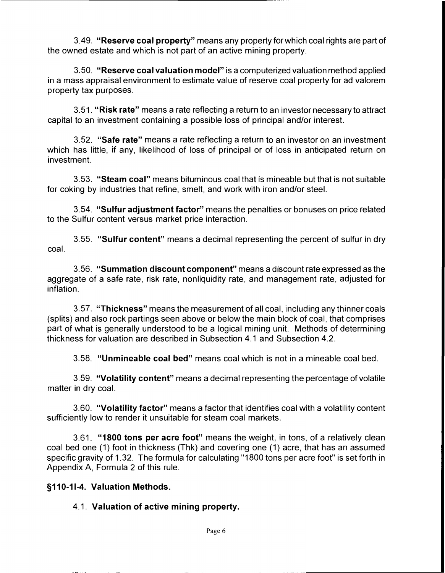3.49. **"Reserve coal property"** means any property for which coal rights are part of the owned estate and which is not part of an active mining property.

3.50. **"Reserve coal valuation model"** is a computerized valuation method applied in a mass appraisal environment to estimate value of reserve coal property for ad valorem property tax purposes.

3.51. **"Risk rate"** means a rate reflecting a return to an investor necessary to attract capital to an investment containing a possible loss of principal and/or interest.

3.52. **"Safe rate"** means a rate reflecting a return to an investor on an investment which has little, if any, likelihood of loss of principal or of loss in anticipated return on investment.

3.53. **"Steam coal"** means bituminous coal that is mineable but that is not suitable for coking by industries that refine, smelt, and work with iron and/or steel.

3.54. **"Sulfur adjustment factor"** means the penalties or bonuses on price related to the Sulfur content versus market price interaction.

3.55. **"Sulfur content"** means a decimal representing the percent of sulfur in dry coal.

3.56. **"Summation discount component"** means a discount rate expressed as the aggregate of a safe rate, risk rate, nonliquidity rate, and management rate, adjusted for inflation.

3.57. **"Thickness"** means the measurement of all coal, including any thinner coals (splits) and also rock partings seen above or below the main block of coal, that comprises part of what is generally understood to be a logical mining unit. Methods of determining thickness for valuation are described in Subsection 4.1 and Subsection 4.2.

3.58. **"Unmineable coal bed"** means coal which is not in a mineable coal bed.

3.59. **"Volatility content"** means a decimal representing the percentage of volatile matter in dry coal.

3.60. **"Volatility factor"** means a factor that identifies coal with a volatility content sufficiently low to render it unsuitable for steam coal markets.

3.61. **"1800 tons per acre foot"** means the weight, in tons, of a relatively clean coal bed one (1) foot in thickness (Thk) and covering one (1) acre, that has an assumed specific gravity of 1.32. The formula for calculating "1800 tons per acre foot" is set forth in Appendix A, Formula 2 of this rule.

#### **§110-11-4. Valuation Methods.**

#### 4.1. **Valuation of active mining property.**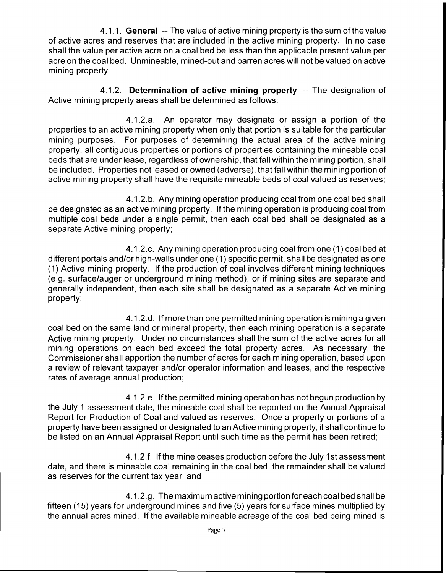4.1.1. **General.** -- The value of active mining property is the sum of the value of active acres and reserves that are included in the active mining property. In no case shall the value per active acre on a coal bed be less than the applicable present value per acre on the coal bed. Unmineable, mined-out and barren acres will not be valued on active mining property.

4.1.2. **Determination of active mining property.** -- The designation of Active mining property areas shall be determined as follows:

4.1.2.a. An operator may designate or assign a portion of the properties to an active mining property when only that portion is suitable for the particular mining purposes. For purposes of determining the actual area of the active mining property, all contiguous properties or portions of properties containing the mineable coal beds that are under lease, regardless of ownership, that fall within the mining portion, shall be included. Properties not leased or owned (adverse}, that fall within the mining portion of active mining property shall have the requisite mineable beds of coal valued as reserves;

4.1.2.b. Any mining operation producing coal from one coal bed shall be designated as an active mining property. If the mining operation is producing coal from multiple coal beds under a single permit, then each coal bed shall be designated as a separate Active mining property;

4.1.2.c. Any mining operation producing coal from one (1) coal bed at different portals and/or high-walls under one (1) specific permit, shall be designated as one (1) Active mining property. If the production of coal involves different mining techniques (e.g. surface/auger or underground mining method}, or if mining sites are separate and generally independent, then each site shall be designated as a separate Active mining property;

4.1.2.d. If more than one permitted mining operation is mining a given coal bed on the same land or mineral property, then each mining operation is a separate Active mining property. Under no circumstances shall the sum of the active acres for all mining operations on each bed exceed the total property acres. As necessary, the Commissioner shall apportion the number of acres for each mining operation, based upon a review of relevant taxpayer and/or operator information and leases, and the respective rates of average annual production;

4.1.2.e. If the permitted mining operation has not begun production by the July 1 assessment date, the mineable coal shall be reported on the Annual Appraisal Report for Production of Coal and valued as reserves. Once a property or portions of a property have been assigned or designated to an Active mining property, it shall continue to be listed on an Annual Appraisal Report until such time as the permit has been retired;

4.1.2.f. If the mine ceases production before the July 1st assessment date, and there is mineable coal remaining in the coal bed, the remainder shall be valued as reserves for the current tax year; and

4.1.2.g. The maximum active mining portion for each coal bed shall be fifteen (15) years for underground mines and five (5) years for surface mines multiplied by the annual acres mined. If the available mineable acreage of the coal bed being mined is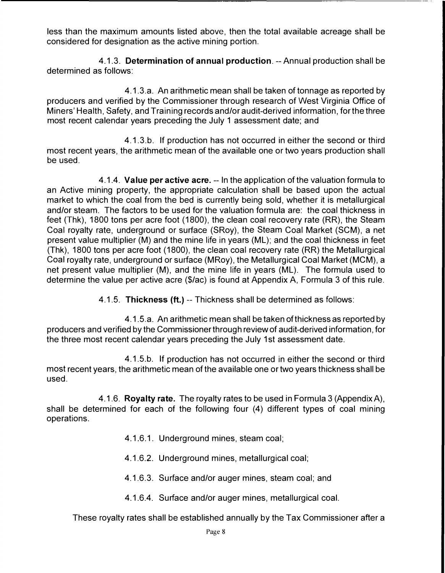less than the maximum amounts listed above, then the total available acreage shall be considered for designation as the active mining portion.

4.1.3. **Determination of annual production.** -- Annual production shall be determined as follows:

4.1.3.a. An arithmetic mean shall be taken of tonnage as reported by producers and verified by the Commissioner through research of West Virginia Office of Miners' Health, Safety, and Training records and/or audit-derived information, for the three most recent calendar years preceding the July 1 assessment date; and

4.1.3.b. If production has not occurred in either the second or third most recent years, the arithmetic mean of the available one or two years production shall be used.

4.1.4. **Value per active acre.** -- In the application of the valuation formula to an Active mining property, the appropriate calculation shall be based upon the actual market to which the coal from the bed is currently being sold, whether it is metallurgical and/or steam. The factors to be used for the valuation formula are: the coal thickness in feet {Thk), 1800 tons per acre foot (1800), the clean coal recovery rate (RR), the Steam Coal royalty rate, underground or surface (SRoy), the Steam Coal Market (SCM), a net present value multiplier (M) and the mine life in years (ML); and the coal thickness in feet (Thk), 1800 tons per acre foot (1800), the clean coal recovery rate (RR) the Metallurgical Coal royalty rate, underground or surface (MRoy), the Metallurgical Coal Market (MCM), a net present value multiplier (M), and the mine life in years (ML). The formula used to determine the value per active acre (\$/ac) is found at Appendix A, Formula 3 of this rule.

4.1.5. **Thickness** {ft.) -- Thickness shall be determined as follows:

4.1.5.a. An arithmetic mean shall be taken of thickness as reported by producers and verified by the Commissioner through review of audit-derived information, for the three most recent calendar years preceding the July 1st assessment date.

4.1.5.b. If production has not occurred in either the second or third most recent years, the arithmetic mean of the available one or two years thickness shall be used.

4.1.6. **Royalty rate.** The royalty rates to be used in Formula 3 (Appendix A), shall be determined for each of the following four (4) different types of coal mining operations.

- 4.1.6.1. Underground mines, steam coal;
- 4.1.6.2. Underground mines, metallurgical coal;
- 4.1.6.3. Surface and/or auger mines, steam coal; and
- 4.1.6.4. Surface and/or auger mines, metallurgical coal.

These royalty rates shall be established annually by the Tax Commissioner after a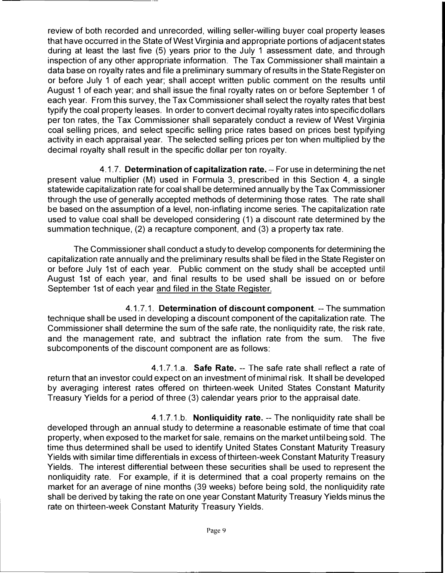review of both recorded and unrecorded, willing seller-willing buyer coal property leases that have occurred in the State of West Virginia and appropriate portions of adjacent states during at least the last five (5) years prior to the July 1 assessment date, and through inspection of any other appropriate information. The Tax Commissioner shall maintain a data base on royalty rates and file a preliminary summary of results in the State Register on or before July 1 of each year; shall accept written public comment on the results until August 1 of each year; and shall issue the final royalty rates on or before September 1 of each year. From this survey, the Tax Commissioner shall select the royalty rates that best typify the coal property leases. In order to convert decimal royalty rates into specific dollars per ton rates, the Tax Commissioner shall separately conduct a review of West Virginia coal selling prices, and select specific selling price rates based on prices best typifying activity in each appraisal year. The selected selling prices per ton when multiplied by the decimal royalty shall result in the specific dollar per ton royalty.

4.1.7. **Determination of capitalization rate.** -- For use in determining the net present value multiplier (M) used in Formula 3, prescribed in this Section 4, a single statewide capitalization rate for coal shall be determined annually by the Tax Commissioner through the use of generally accepted methods of determining those rates. The rate shall be based on the assumption of a level, non-inflating income series. The capitalization rate used to value coal shall be developed considering (1) a discount rate determined by the summation technique, (2) a recapture component, and (3) a property tax rate.

The Commissioner shall conduct a study to develop components for determining the capitalization rate annually and the preliminary results shall be filed in the State Register on or before July 1st of each year. Public comment on the study shall be accepted until August 1st of each year, and final results to be used shall be issued on or before September 1st of each year and filed in the State Register.

4.1.7.1. **Determination of discount component.** -- The summation technique shall be used in developing a discount component of the capitalization rate. The Commissioner shall determine the sum of the safe rate, the nonliquidity rate, the risk rate, and the management rate, and subtract the inflation rate from the sum. The five subcomponents of the discount component are as follows:

4.1.7.1.a. **Safe Rate.** -- The safe rate shall reflect a rate of return that an investor could expect on an investment of minimal risk. It shall be developed by averaging interest rates offered on thirteen-week United States Constant Maturity Treasury Yields for a period of three (3) calendar years prior to the appraisal date.

4.1.7.1.b. **Nonliquidity rate.** -- The nonliquidity rate shall be developed through an annual study to determine a reasonable estimate of time that coal property, when exposed to the market for sale, remains on the market until being sold. The time thus determined shall be used to identify United States Constant Maturity Treasury Yields with similar time differentials in excess of thirteen-week Constant Maturity Treasury Yields. The interest differential between these securities shall be used to represent the nonliquidity rate. For example, if it is determined that a coal property remains on the market for an average of nine months (39 weeks) before being sold, the nonliquidity rate shall be derived by taking the rate on one year Constant Maturity Treasury Yields minus the rate on thirteen-week Constant Maturity Treasury Yields.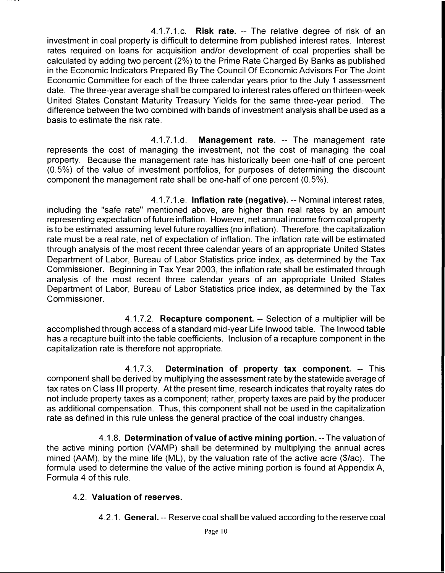4.1.7.1.c. **Risk rate.** -- The relative degree of risk of an investment in coal property is difficult to determine from published interest rates. Interest rates required on loans for acquisition and/or development of coal properties shall be calculated by adding two percent (2%) to the Prime Rate Charged By Banks as published in the Economic Indicators Prepared By The Council Of Economic Advisors For The Joint Economic Committee for each of the three calendar years prior to the July 1 assessment date. The three-year average shall be compared to interest rates offered on thirteen-week United States Constant Maturity Treasury Yields for the same three-year period. The difference between the two combined with bands of investment analysis shall be used as a basis to estimate the risk rate.

4.1.7.1.d. **Management rate.** -- The management rate represents the cost of managing the investment, not the cost of managing the coal property. Because the management rate has historically been one-half of one percent (0.5%) of the value of investment portfolios, for purposes of determining the discount component the management rate shall be one-half of one percent (0.5%).

4.1.7.1.e. **Inflation rate (negative).** -- Nominal interest rates, including the "safe rate" mentioned above, are higher than real rates by an amount representing expectation of future inflation. However, net annual income from coal property is to be estimated assuming level future royalties (no inflation). Therefore, the capitalization rate must be a real rate, net of expectation of inflation. The inflation rate will be estimated through analysis of the most recent three calendar years of an appropriate United States Department of Labor, Bureau of Labor Statistics price index, as determined by the Tax Commissioner. Beginning in Tax Year 2003, the inflation rate shall be estimated through analysis of the most recent three calendar years of an appropriate United States Department of Labor, Bureau of Labor Statistics price index, as determined by the Tax Commissioner.

4.1.7.2. **Recapture component.** -- Selection of a multiplier will be accomplished through access of a standard mid-year Life Inwood table. The Inwood table has a recapture built into the table coefficients. Inclusion of a recapture component in the capitalization rate is therefore not appropriate.

4.1.7.3. **Determination of property tax component.** -- This component shall be derived by multiplying the assessment rate by the statewide average of tax rates on Class Ill property. At the present time, research indicates that royalty rates do not include property taxes as a component; rather, property taxes are paid by the producer as additional compensation. Thus, this component shall not be used in the capitalization rate as defined in this rule unless the general practice of the coal industry changes.

4.1.8. **Determination of value of active mining portion.** -- The valuation of the active mining portion (VAMP) shall be determined by multiplying the annual acres mined (AAM), by the mine life (ML), by the valuation rate of the active acre (\$/ac). The formula used to determine the value of the active mining portion is found at Appendix A, Formula 4 of this rule.

## 4.2. **Valuation of reserves.**

4.2.1. **General.** -- Reserve coal shall be valued according to the reserve coal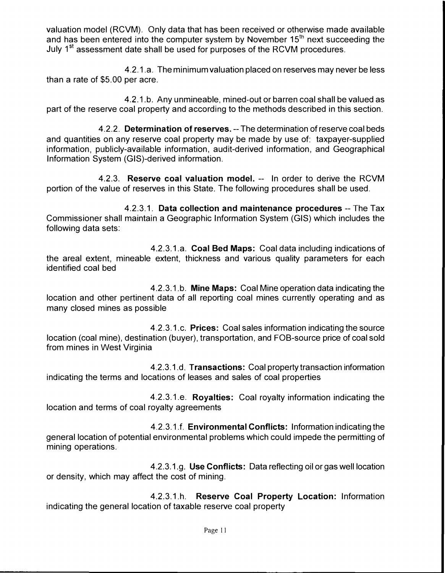valuation model (RCVM). Only data that has been received or otherwise made available and has been entered into the computer system by November  $15<sup>th</sup>$  next succeeding the July 1<sup>st</sup> assessment date shall be used for purposes of the RCVM procedures.

4.2.1.a. The minimum valuation placed on reserves may never be less than a rate of \$5.00 per acre.

4.2.1.b. Any unmineable, mined-out or barren coal shall be valued as part of the reserve coal property and according to the methods described in this section.

4.2.2. **Determination of reserves.** -- The determination of reserve coal beds and quantities on any reserve coal property may be made by use of: taxpayer-supplied information, publicly-available information, audit-derived information, and Geographical Information System (GIS)-derived information.

4.2.3. **Reserve coal valuation model.** -- In order to derive the RCVM portion of the value of reserves in this State. The following procedures shall be used.

4.2.3.1. **Data collection and maintenance procedures** -- The Tax Commissioner shall maintain a Geographic Information System (GIS) which includes the following data sets:

4.2.3.1.a. **Coal Bed Maps:** Coal data including indications of the areal extent, mineable extent, thickness and various quality parameters for each identified coal bed

4.2.3.1.b. **Mine Maps:** Coal Mine operation data indicating the location and other pertinent data of all reporting coal mines currently operating and as many closed mines as possible

4.2.3.1.c. **Prices:** Coal sales information indicating the source location (coal mine), destination (buyer), transportation, and FOB-source price of coal sold from mines in West Virginia

4.2.3.1.d. **Transactions:** Coal property transaction information indicating the terms and locations of leases and sales of coal properties

4.2.3.1.e. **Royalties:** Coal royalty information indicating the location and terms of coal royalty agreements

4.2.3.1.f. **Environmental Conflicts:** Information indicating the general location of potential environmental problems which could impede the permitting of mining operations.

4.2.3.1.g. **Use Conflicts:** Data reflecting oil or gas well location or density, which may affect the cost of mining.

4.2.3.1.h. **Reserve Coal Property Location:** Information indicating the general location of taxable reserve coal property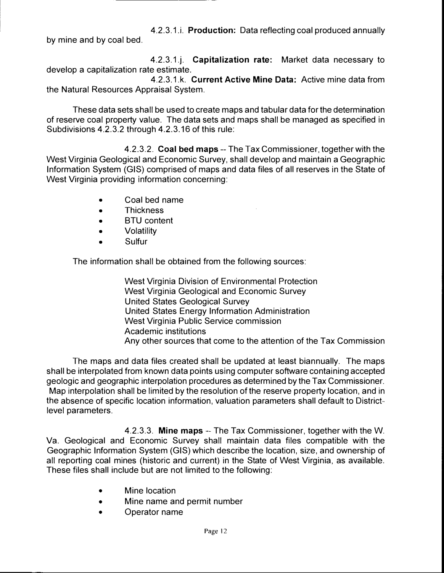4.2.3.1.i. **Production:** Data reflecting coal produced annually by mine and by coal bed.

4.2.3.1.j. **Capitalization rate:** Market data necessary to develop a capitalization rate estimate.

4.2.3.1.k. **Current Active Mine Data:** Active mine data from the Natural Resources Appraisal System.

These data sets shall be used to create maps and tabular data for the determination of reserve coal property value. The data sets and maps shall be managed as specified in Subdivisions 4.2.3.2 through 4.2.3.16 of this rule:

4.2.3.2. **Coal bed maps** -- The Tax Commissioner, together with the West Virginia Geological and Economic Survey, shall develop and maintain a Geographic Information System (GIS) comprised of maps and data files of all reserves in the State of West Virginia providing information concerning:

- Coal bed name
- Thickness
- **BTU** content
- Volatility
- Sulfur

The information shall be obtained from the following sources:

West Virginia Division of Environmental Protection West Virginia Geological and Economic Survey United States Geological Survey United States Energy Information Administration West Virginia Public Service commission Academic institutions Any other sources that come to the attention of the Tax Commission

The maps and data files created shall be updated at least biannually. The maps shall be interpolated from known data points using computer software containing accepted geologic and geographic interpolation procedures as determined by the Tax Commissioner. Map interpolation shall be limited by the resolution of the reserve property location, and in the absence of specific location information, valuation parameters shall default to Districtlevel parameters.

4.2.3.3. **Mine maps** -- The Tax Commissioner, together with the W. Va. Geological and Economic Survey shall maintain data files compatible with the Geographic Information System (GIS) which describe the location, size, and ownership of all reporting coal mines (historic and current) in the State of West Virginia, as available. These files shall include but are not limited to the following:

- Mine location
- Mine name and permit number
- Operator name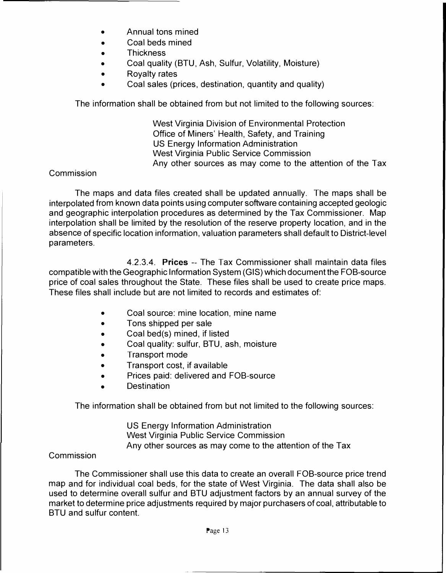- Annual tons mined
- Coal beds mined
- Thickness
- Coal quality (BTU, Ash, Sulfur, Volatility, Moisture)
- Royalty rates
- Coal sales (prices, destination, quantity and quality)

The information shall be obtained from but not limited to the following sources:

West Virginia Division of Environmental Protection Office of Miners' Health, Safety, and Training US Energy Information Administration West Virginia Public Service Commission Any other sources as may come to the attention of the Tax

#### Commission

The maps and data files created shall be updated annually. The maps shall be interpolated from known data points using computer software containing accepted geologic and geographic interpolation procedures as determined by the Tax Commissioner. Map interpolation shall be limited by the resolution of the reserve property location, and in the absence of specific location information, valuation parameters shall default to District-level parameters.

4.2.3.4. **Prices** -- The Tax Commissioner shall maintain data files compatible with the Geographic Information System (GIS) which document the FOB-source price of coal sales throughout the State. These files shall be used to create price maps. These files shall include but are not limited to records and estimates of:

- Coal source: mine location, mine name
- Tons shipped per sale
- Coal bed(s) mined, if listed
- Coal quality: sulfur, BTU, ash, moisture
- Transport mode
- Transport cost, if available
- Prices paid: delivered and FOB-source
- Destination

The information shall be obtained from but not limited to the following sources:

US Energy Information Administration West Virginia Public Service Commission Any other sources as may come to the attention of the Tax

## Commission

The Commissioner shall use this data to create an overall FOB-source price trend map and for individual coal beds, for the state of West Virginia. The data shall also be used to determine overall sulfur and BTU adjustment factors by an annual survey of the market to determine price adjustments required by major purchasers of coal, attributable to BTU and sulfur content.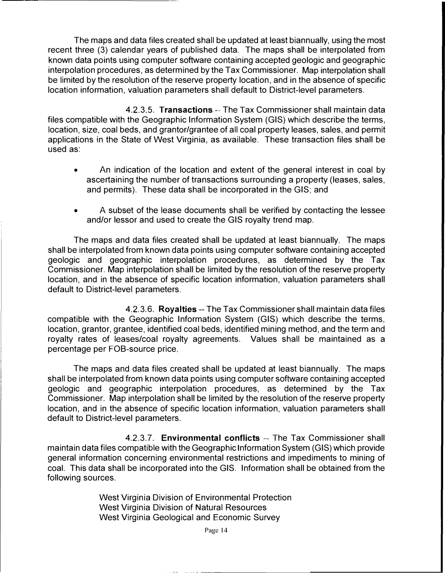The maps and data files created shall be updated at least biannually, using the most recent three (3) calendar years of published data. The maps shall be interpolated from known data points using computer software containing accepted geologic and geographic interpolation procedures, as determined by the Tax Commissioner. Map interpolation shall be limited by the resolution of the reserve property location, and in the absence of specific location information, valuation parameters shall default to District-level parameters.

4.2.3.5. **Transactions** -- The Tax Commissioner shall maintain data files compatible with the Geographic Information System (GIS) which describe the terms, location, size, coal beds, and grantor/grantee of all coal property leases, sales, and permit applications in the State of West Virginia, as available. These transaction files shall be used as:

- An indication of the location and extent of the general interest in coal by ascertaining the number of transactions surrounding a property (leases, sales, and permits). These data shall be incorporated in the GIS; and
- A subset of the lease documents shall be verified by contacting the lessee and/or lessor and used to create the GIS royalty trend map.

The maps and data files created shall be updated at least biannually. The maps shall be interpolated from known data points using computer software containing accepted geologic and geographic interpolation procedures, as determined by the Tax Commissioner. Map interpolation shall be limited by the resolution of the reserve property location, and in the absence of specific location information, valuation parameters shall default to District-level parameters.

4.2.3.6. **Royalties** -- The Tax Commissioner shall maintain data files compatible with the Geographic Information System (GIS) which describe the terms, location, grantor, grantee, identified coal beds, identified mining method, and the term and royalty rates of leases/coal royalty agreements. Values shall be maintained as a percentage per FOB-source price.

The maps and data files created shall be updated at least biannually. The maps shall be interpolated from known data points using computer software containing accepted geologic and geographic interpolation procedures, as determined by the Tax Commissioner. Map interpolation shall be limited by the resolution of the reserve property location, and in the absence of specific location information, valuation parameters shall default to District-level parameters.

4.2.3.7. **Environmental conflicts** -- The Tax Commissioner shall maintain data files compatible with the Geographic Information System (GIS) which provide general information concerning environmental restrictions and impediments to mining of coal. This data shall be incorporated into the GIS. Information shall be obtained from the following sources.

> West Virginia Division of Environmental Protection West Virginia Division of Natural Resources West Virginia Geological and Economic Survey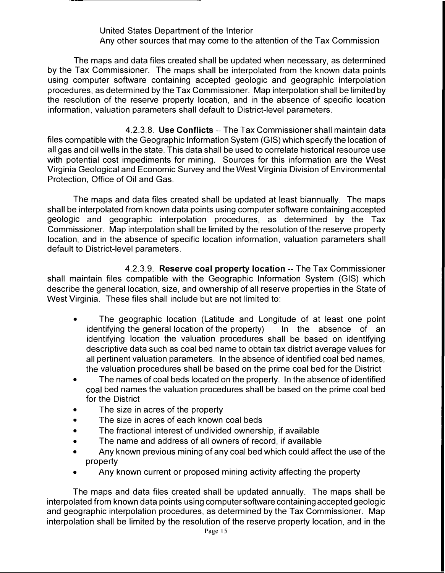#### United States Department of the Interior Any other sources that may come to the attention of the Tax Commission

The maps and data files created shall be updated when necessary, as determined by the Tax Commissioner. The maps shall be interpolated from the known data points using computer software containing accepted geologic and geographic interpolation procedures, as determined by the Tax Commissioner. Map interpolation shall be limited by the resolution of the reserve property location, and in the absence of specific location information, valuation parameters shall default to District-level parameters.

4.2.3.8. **Use Conflicts** -- The Tax Commissioner shall maintain data files compatible with the Geographic Information System (GIS) which specify the location of all gas and oil wells in the state. This data shall be used to correlate historical resource use with potential cost impediments for mining. Sources for this information are the West Virginia Geological and Economic Survey and the West Virginia Division of Environmental Protection, Office of Oil and Gas.

The maps and data files created shall be updated at least biannually. The maps shall be interpolated from known data points using computer software containing accepted geologic and geographic interpolation procedures, as determined by the Tax Commissioner. Map interpolation shall be limited by the resolution of the reserve property location, and in the absence of specific location information, valuation parameters shall default to District-level parameters.

4.2.3.9. **Reserve coal property location** -- The Tax Commissioner shall maintain files compatible with the Geographic Information System (GIS) which describe the general location, size, and ownership of all reserve properties in the State of West Virginia. These files shall include but are not limited to:

- The geographic location (Latitude and Longitude of at least one point the geographic location of the property) In the absence of an identifying the general location of the property) identifying location the valuation procedures shall be based on identifying descriptive data such as coal bed name to obtain tax district average values for all pertinent valuation parameters. In the absence of identified coal bed names, the valuation procedures shall be based on the prime coal bed for the District
- The names of coal beds located on the property. In the absence of identified coal bed names the valuation procedures shall be based on the prime coal bed for the District
- The size in acres of the property
- The size in acres of each known coal beds
- The fractional interest of undivided ownership, if available
- The name and address of all owners of record, if available
- Any known previous mining of any coal bed which could affect the use of the property
- Any known current or proposed mining activity affecting the property

The maps and data files created shall be updated annually. The maps shall be interpolated from known data points using computer software containing accepted geologic and geographic interpolation procedures, as determined by the Tax Commissioner. Map interpolation shall be limited by the resolution of the reserve property location, and in the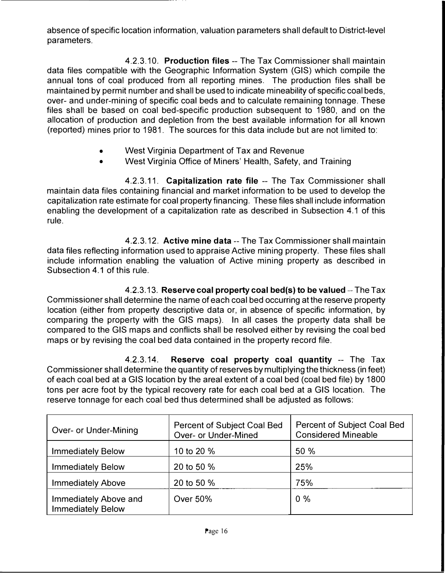absence of specific location information, valuation parameters shall default to District-level parameters.

4.2.3.10. **Production files** -- The Tax Commissioner shall maintain data files compatible with the Geographic Information System (GIS) which compile the annual tons of coal produced from all reporting mines. The production files shall be maintained by permit number and shall be used to indicate mineability of specific coal beds, over- and under-mining of specific coal beds and to calculate remaining tonnage. These files shall be based on coal bed-specific production subsequent to 1980, and on the allocation of production and depletion from the best available information for all known (reported) mines prior to 1981. The sources for this data include but are not limited to:

- West Virginia Department of Tax and Revenue
- West Virginia Office of Miners' Health, Safety, and Training

4.2.3.11. **Capitalization rate file** -- The Tax Commissioner shall maintain data files containing financial and market information to be used to develop the capitalization rate estimate for coal property financing. These files shall include information enabling the development of a capitalization rate as described in Subsection 4.1 of this rule.

4.2.3.12. **Active mine data** -- The Tax Commissioner shall maintain data files reflecting information used to appraise Active mining property. These files shall include information enabling the valuation of Active mining property as described in Subsection 4.1 of this rule.

4.2.3.13. **Reserve coal property coal bed(s) to be valued** -- The Tax Commissioner shall determine the name of each coal bed occurring at the reserve property location (either from property descriptive data or, in absence of specific information, by comparing the property with the GIS maps). In all cases the property data shall be compared to the GIS maps and conflicts shall be resolved either by revising the coal bed maps or by revising the coal bed data contained in the property record file.

4.2.3.14. **Reserve coal property coal quantity** -- The Tax Commissioner shall determine the quantity of reserves by multiplying the thickness (in feet) of each coal bed at a GIS location by the areal extent of a coal bed (coal bed file) by 1800 tons per acre foot by the typical recovery rate for each coal bed at a GIS location. The reserve tonnage for each coal bed thus determined shall be adjusted as follows:

| Over- or Under-Mining                             | Percent of Subject Coal Bed<br>Over- or Under-Mined | Percent of Subject Coal Bed<br><b>Considered Mineable</b> |
|---------------------------------------------------|-----------------------------------------------------|-----------------------------------------------------------|
| <b>Immediately Below</b>                          | 10 to 20 %                                          | 50 %                                                      |
| <b>Immediately Below</b>                          | 20 to 50 %                                          | 25%                                                       |
| <b>Immediately Above</b>                          | 20 to 50 %                                          | 75%                                                       |
| Immediately Above and<br><b>Immediately Below</b> | <b>Over 50%</b>                                     | $0\%$                                                     |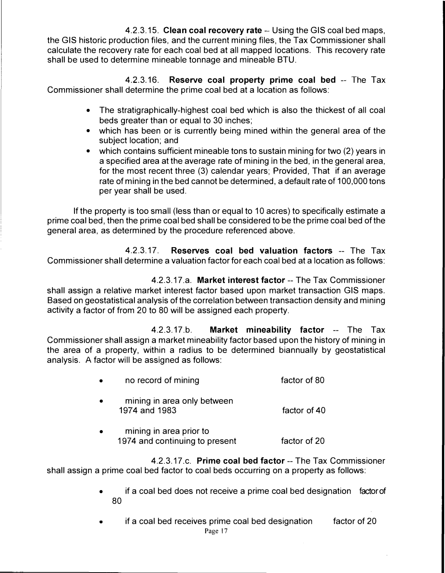4.2.3.15. **Clean coal recovery rate** -- Using the GIS coal bed maps, the GIS historic production files, and the current mining files, the Tax Commissioner shall calculate the recovery rate for each coal bed at all mapped locations. This recovery rate shall be used to determine mineable tonnage and mineable BTU.

4.2.3.16. **Reserve coal property prime coal bed** -- The Tax Commissioner shall determine the prime coal bed at a location as follows:

- The stratigraphically-highest coal bed which is also the thickest of all coal beds greater than or equal to 30 inches;
- which has been or is currently being mined within the general area of the subject location; and
- which contains sufficient mineable tons to sustain mining for two (2) years in a specified area at the average rate of mining in the bed, in the general area, for the most recent three (3) calendar years; Provided, That if an average rate of mining in the bed cannot be determined, a default rate of 100,000 tons per year shall be used.

If the property is too small (less than or equal to 10 acres) to specifically estimate a prime coal bed, then the prime coal bed shall be considered to be the prime coal bed of the general area, as determined by the procedure referenced above.

4.2.3.17. **Reserves coal bed valuation factors** -- The Tax Commissioner shall determine a valuation factor for each coal bed at a location as follows:

4.2.3.17.a. **Market interest factor** -- The Tax Commissioner shall assign a relative market interest factor based upon market transaction GIS maps. Based on geostatistical analysis of the correlation between transaction density and mining activity a factor of from 20 to 80 will be assigned each property.

4.2.3.17.b. **Market mineability factor** -- The Tax Commissioner shall assign a market mineability factor based upon the history of mining in the area of a property, within a radius to be determined biannually by geostatistical analysis. A factor will be assigned as follows:

- no record of mining factor of 80
- mining in area only between 1974 and 1983 factor of 40
- mining in area prior to 1974 and continuing to present factor of 20

4.2.3.17.c. **Prime coal bed factor** -- The Tax Commissioner shall assign a prime coal bed factor to coal beds occurring on a property as follows:

- if a coal bed does not receive a prime coal bed designation factorof 80
- if a coal bed receives prime coal bed designation Page 17 factor of 20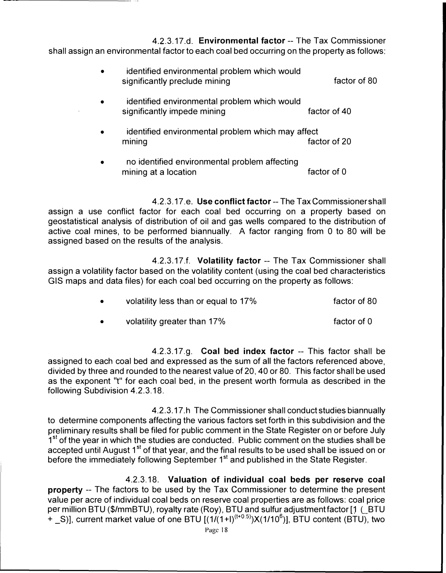4.2.3.17.d. **Environmental factor** -- The Tax Commissioner shall assign an environmental factor to each coal bed occurring on the property as follows:

| $\bullet$ | identified environmental problem which would<br>significantly preclude mining | factor of 80 |
|-----------|-------------------------------------------------------------------------------|--------------|
| $\bullet$ | identified environmental problem which would<br>significantly impede mining   | factor of 40 |
| $\bullet$ | identified environmental problem which may affect<br>mining                   | factor of 20 |

• no identified environmental problem affecting mining at a location factor of 0

4.2.3.17.e. **Use conflict factor--** The Tax Commissioner shall assign a use conflict factor for each coal bed occurring on a property based on geostatistical analysis of distribution of oil and gas wells compared to the distribution of active coal mines, to be performed biannually. A factor ranging from 0 to 80 will be assigned based on the results of the analysis.

4.2.3.17.f. **Volatility factor** -- The Tax Commissioner shall assign a volatility factor based on the volatility content (using the coal bed characteristics GIS maps and data files) for each coal bed occurring on the property as follows:

| volatility less than or equal to 17% | factor of 80 |
|--------------------------------------|--------------|
|                                      |              |

• volatility greater than 17% factor of 0

4.2.3.17.g. **Coal bed index factor** -- This factor shall be assigned to each coal bed and expressed as the sum of all the factors referenced above, divided by three and rounded to the nearest value of 20, 40 or 80. This factor shall be used as the exponent "t" for each coal bed, in the present worth formula as described in the following Subdivision 4.2.3.18.

4.2.3.17.h The Commissioner shall conduct studies biannually to determine components affecting the various factors set forth in this subdivision and the preliminary results shall be filed for public comment in the State Register on or before July 1<sup>st</sup> of the year in which the studies are conducted. Public comment on the studies shall be accepted until August 1<sup>st</sup> of that year, and the final results to be used shall be issued on or before the immediately following September 1<sup>st</sup> and published in the State Register.

4.2.3.18. **Valuation of individual coal beds per reserve coal property** -- The factors to be used by the Tax Commissioner to determine the present value per acre of individual coal beds on reserve coal properties are as follows: coal price per million BTU (\$/mmBTU), royalty rate (Roy), BTU and sulfur adjustment factor [1 (  $B$ TU  $+$  \_S)], current market value of one BTU [(1/(1+I)<sup>(t+0.5)</sup>)X(1/10<sup>6</sup>)], BTU content (BTU), two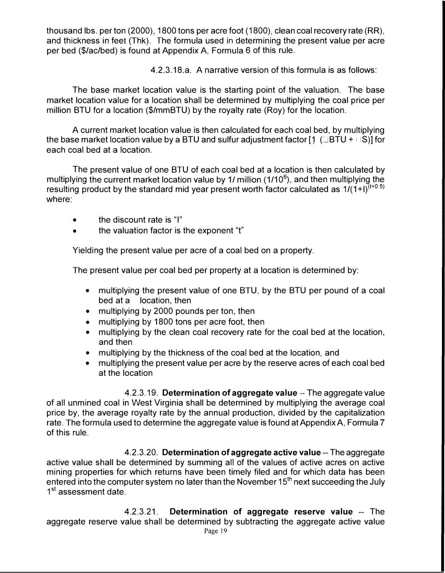thousand lbs. per ton (2000), 1800 tons per acre foot (1800), clean coal recovery rate (RR), and thickness in feet (Thk). The formula used in determining the present value per acre per bed (\$/ac/bed) is found at Appendix A, Formula 6 of this rule.

4.2.3.18.a. A narrative version of this formula is as follows:

The base market location value is the starting point of the valuation. The base market location value for a location shall be determined by multiplying the coal price per million BTU for a location (\$/mmBTU) by the royalty rate (Roy) for the location.

A current market location value is then calculated for each coal bed, by multiplying the base market location value by a BTU and sulfur adjustment factor  $[1 \ (B T U + B)]$  for each coal bed at a location.

The present value of one BTU of each coal bed at a location is then calculated by multiplying the current market location value by 1/ million (1/10<sup>6</sup>), and then multiplyin<u>g</u> the resulting product by the standard mid year present worth factor calculated as  $1/(1+1)^{(t+0.5)}$ where:

- the discount rate is "I"
- the valuation factor is the exponent "t"

Yielding the present value per acre of a coal bed on a property.

The present value per coal bed per property at a location is determined by:

- multiplying the present value of one BTU, by the BTU per pound of a coal bed at a location, then
- multiplying by 2000 pounds per ton, then
- multiplying by 1800 tons per acre foot, then
- multiplying by the clean coal recovery rate for the coal bed at the location, and then
- multiplying by the thickness of the coal bed at the location, and
- multiplying the present value per acre by the reserve acres of each coal bed at the location

4.2.3.19. **Determination of aggregate value** -- The aggregate value of all unmined coal in West Virginia shall be determined by multiplying the average coal price by, the average royalty rate by the annual production, divided by the capitalization rate. The formula used to determine the aggregate value is found at Appendix A, Formula 7 of this rule.

4.2.3.20. **Determination of aggregate active value--** The aggregate active value shall be determined by summing all of the values of active acres on active mining properties for which returns have been timely filed and for which data has been entered into the computer system no later than the November  $15<sup>th</sup>$  next succeeding the July 1<sup>st</sup> assessment date.

4.2.3.21. **Determination of aggregate reserve value** -- The aggregate reserve value shall be determined by subtracting the aggregate active value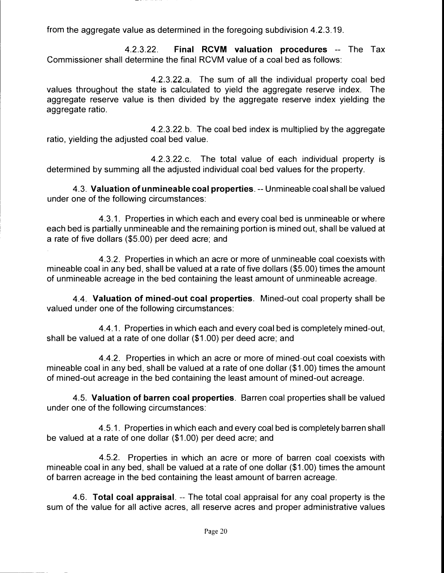4.2.3.22. **Final RCVM valuation procedures** -- The Tax Commissioner shall determine the final RCVM value of a coal bed as follows:

4.2.3.22.a. The sum of all the individual property coal bed values throughout the state is calculated to yield the aggregate reserve index. The aggregate reserve value is then divided by the aggregate reserve index yielding the aggregate ratio.

4.2.3.22.b. The coal bed index is multiplied by the aggregate ratio, yielding the adjusted coal bed value.

4.2.3.22.c. The total value of each individual property is determined by summing all the adjusted individual coal bed values for the property.

4.3. **Valuation of unmineable coal properties.** -- Unmineable coal shall be valued under one of the following circumstances:

4.3.1. Properties in which each and every coal bed is unmineable or where each bed is partially unmineable and the remaining portion is mined out, shall be valued at a rate of five dollars (\$5.00) per deed acre; and

4.3.2. Properties in which an acre or more of unmineable coal coexists with mineable coal in any bed, shall be valued at a rate of five dollars (\$5.00) times the amount of unmineable acreage in the bed containing the least amount of unmineable acreage.

4.4. **Valuation of mined-out coal properties.** Mined-out coal property shall be valued under one of the following circumstances:

4.4.1. Properties in which each and every coal bed is completely mined-out, shall be valued at a rate of one dollar (\$1.00) per deed acre; and

4.4.2. Properties in which an acre or more of mined-out coal coexists with mineable coal in any bed, shall be valued at a rate of one dollar (\$1.00) times the amount of mined-out acreage in the bed containing the least amount of mined-out acreage.

4.5. **Valuation of barren coal properties.** Barren coal properties shall be valued under one of the following circumstances:

4.5.1. Properties in which each and every coal bed is completely barren shall be valued at a rate of one dollar (\$1.00) per deed acre; and

4.5.2. Properties in which an acre or more of barren coal coexists with mineable coal in any bed, shall be valued at a rate of one dollar (\$1.00) times the amount of barren acreage in the bed containing the least amount of barren acreage.

4.6. **Total coal appraisal.** -- The total coal appraisal for any coal property is the sum of the value for all active acres, all reserve acres and proper administrative values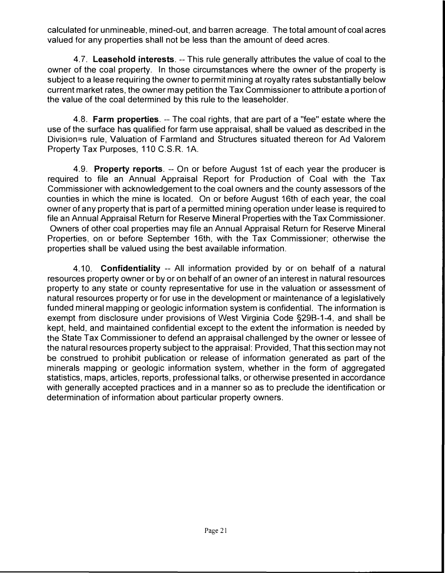calculated for unmineable, mined-out, and barren acreage. The total amount of coal acres valued for any properties shall not be less than the amount of deed acres.

4.7. **Leasehold interests.** -- This rule generally attributes the value of coal to the owner of the coal property. In those circumstances where the owner of the property is subject to a lease requiring the owner to permit mining at royalty rates substantially below current market rates, the owner may petition the Tax Commissioner to attribute a portion of the value of the coal determined by this rule to the leaseholder.

4.8. **Farm properties.** -- The coal rights, that are part of a "fee" estate where the use of the surface has qualified for farm use appraisal, shall be valued as described in the Division=s rule, Valuation of Farmland and Structures situated thereon for Ad Valorem Property Tax Purposes, 110 C.S.R. 1A.

4.9. **Property reports.** -- On or before August 1st of each year the producer is required to file an Annual Appraisal Report for Production of Coal with the Tax Commissioner with acknowledgement to the coal owners and the county assessors of the counties in which the mine is located. On or before August 16th of each year, the coal owner of any property that is part of a permitted mining operation under lease is required to file an Annual Appraisal Return for Reserve Mineral Properties with the Tax Commissioner. Owners of other coal properties may file an Annual Appraisal Return for Reserve Mineral Properties, on or before September 16th, with the Tax Commissioner; otherwise the properties shall be valued using the best available information.

4.10. **Confidentiality** -- All information provided by or on behalf of a natural resources property owner or by or on behalf of an owner of an interest in natural resources property to any state or county representative for use in the valuation or assessment of natural resources property or for use in the development or maintenance of a legislatively funded mineral mapping or geologic information system is confidential. The information is exempt from disclosure under provisions of West Virginia Code §29B-1-4, and shall be kept, held, and maintained confidential except to the extent the information is needed by the State Tax Commissioner to defend an appraisal challenged by the owner or lessee of the natural resources property subject to the appraisal: Provided, That this section may not be construed to prohibit publication or release of information generated as part of the minerals mapping or geologic information system, whether in the form of aggregated statistics, maps, articles, reports, professional talks, or otherwise presented in accordance with generally accepted practices and in a manner so as to preclude the identification or determination of information about particular property owners.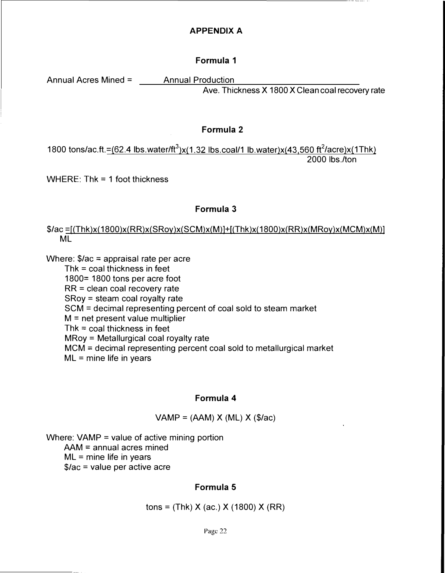## **Formula 1**

Annual Acres Mined = \_\_\_\_\_Annual Production\_

Ave. Thickness X 1800 X Clean coal recovery rate

#### **Formula 2**

1800 tons/ac.ft.= $(62.4 \text{ lbs}.\text{water/ft}^3)$ x $(1.32 \text{ lbs}.\text{coal/1 lb}.\text{water})$ x $(43,560 \text{ ft}^2/\text{acre})$ x $(1 \text{Thk})$ 2000 lbs./ton

WHERE: Thk = 1 foot thickness

## **Formula 3**

*\$lac* ::;f(Thk)x(1800)x(RR)x(SRoy)x(SCM)x(M)]+[(Thk)x(1800)x(RR)x(MRoy)x(MCM)x(M)] ML

Where:  $$/ac = appraisal rate per acre$ 

Thk  $=$  coal thickness in feet 1800 $=$  1800 tons per acre foot  $RR = clean coal recovery rate$  $S$ Roy = steam coal royalty rate SCM = decimal representing percent of coal sold to steam market  $M = net present value multiplier$ Thk  $=$  coal thickness in feet  $MRoy = Metallurqical coal rovalty rate$  $MCM =$  decimal representing percent coal sold to metallurgical market  $ML =$  mine life in years

## **Formula 4**

 $VAMP = (AAM) X (ML) X ($/ac)$ 

Where:  $VAMP = value of active mining portion$  $AAM =$  annual acres mined

 $ML =$  mine life in years

\$/ac = value per active acre

# **Formula 5**

tons =  $(Thk) X (ac.) X (1800) X (RR)$